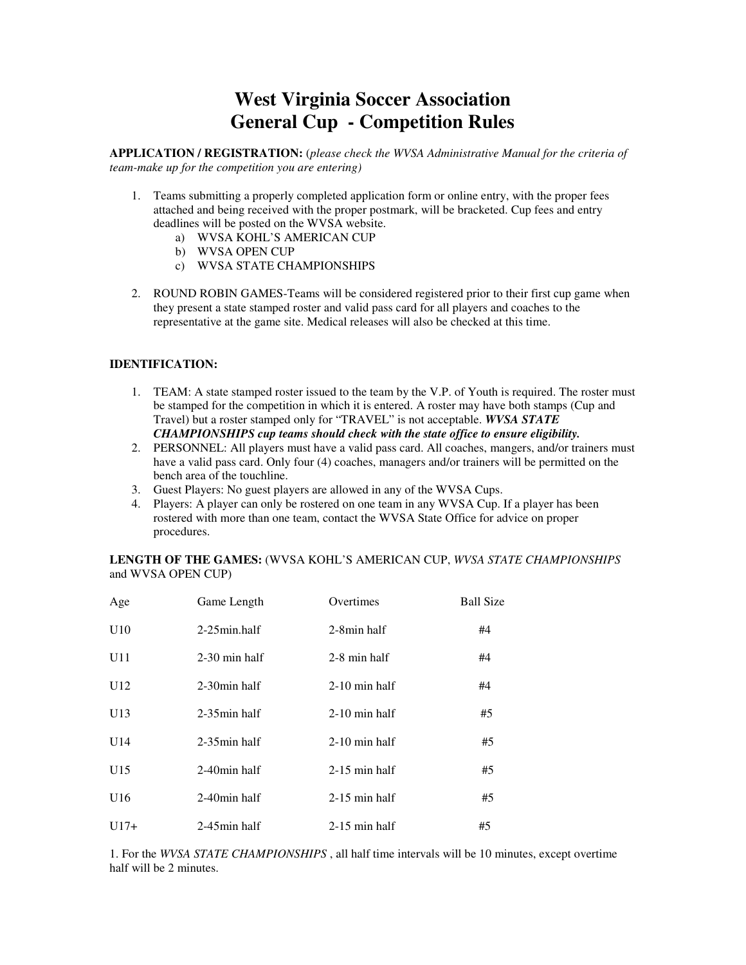# **West Virginia Soccer Association General Cup - Competition Rules**

**APPLICATION / REGISTRATION:** (*please check the WVSA Administrative Manual for the criteria of team-make up for the competition you are entering)* 

- 1. Teams submitting a properly completed application form or online entry, with the proper fees attached and being received with the proper postmark, will be bracketed. Cup fees and entry deadlines will be posted on the WVSA website.
	- a) WVSA KOHL'S AMERICAN CUP
	- b) WVSA OPEN CUP
	- c) WVSA STATE CHAMPIONSHIPS
- 2. ROUND ROBIN GAMES-Teams will be considered registered prior to their first cup game when they present a state stamped roster and valid pass card for all players and coaches to the representative at the game site. Medical releases will also be checked at this time.

# **IDENTIFICATION:**

- 1. TEAM: A state stamped roster issued to the team by the V.P. of Youth is required. The roster must be stamped for the competition in which it is entered. A roster may have both stamps (Cup and Travel) but a roster stamped only for "TRAVEL" is not acceptable. *WVSA STATE CHAMPIONSHIPS cup teams should check with the state office to ensure eligibility.*
- 2. PERSONNEL: All players must have a valid pass card. All coaches, mangers, and/or trainers must have a valid pass card. Only four (4) coaches, managers and/or trainers will be permitted on the bench area of the touchline.
- 3. Guest Players: No guest players are allowed in any of the WVSA Cups.
- 4. Players: A player can only be rostered on one team in any WVSA Cup. If a player has been rostered with more than one team, contact the WVSA State Office for advice on proper procedures.

**LENGTH OF THE GAMES:** (WVSA KOHL'S AMERICAN CUP, *WVSA STATE CHAMPIONSHIPS*  and WVSA OPEN CUP)

| Age    | Game Length     | Overtimes       | <b>Ball Size</b> |
|--------|-----------------|-----------------|------------------|
| U10    | $2-25$ min.half | 2-8min half     | #4               |
| U11    | $2-30$ min half | 2-8 min half    | #4               |
| U12    | 2-30 min half   | $2-10$ min half | #4               |
| U13    | $2-35$ min half | $2-10$ min half | #5               |
| U14    | $2-35$ min half | $2-10$ min half | #5               |
| U15    | 2-40min half    | $2-15$ min half | #5               |
| U16    | 2-40min half    | $2-15$ min half | #5               |
| $U17+$ | $2-45$ min half | $2-15$ min half | #5               |

1. For the *WVSA STATE CHAMPIONSHIPS* , all half time intervals will be 10 minutes, except overtime half will be 2 minutes.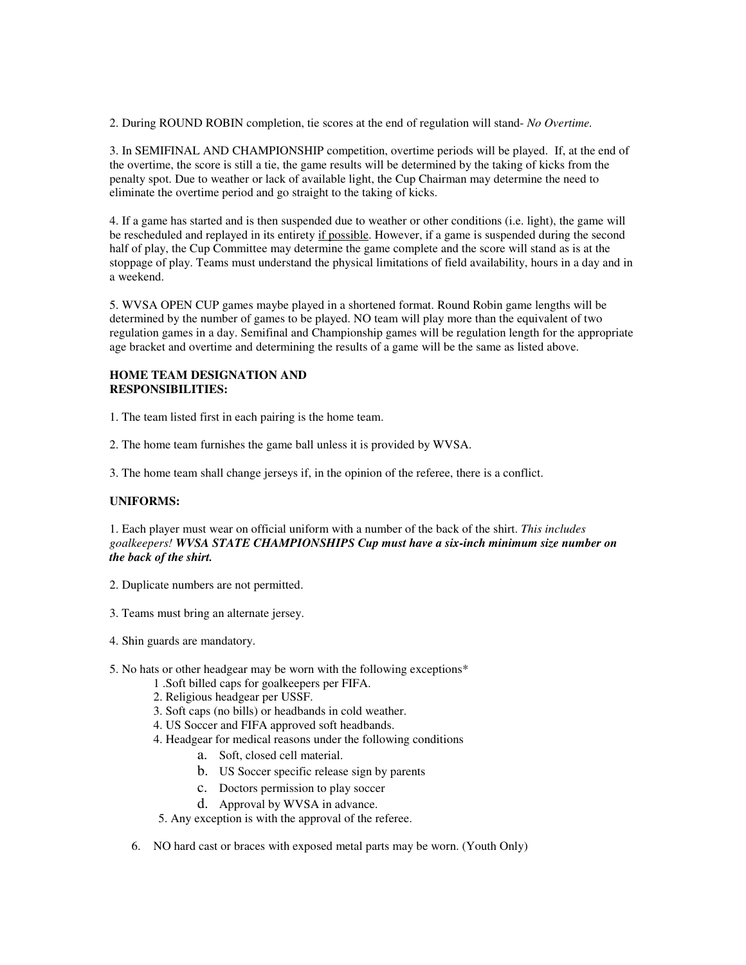2. During ROUND ROBIN completion, tie scores at the end of regulation will stand- *No Overtime.* 

3. In SEMIFINAL AND CHAMPIONSHIP competition, overtime periods will be played. If, at the end of the overtime, the score is still a tie, the game results will be determined by the taking of kicks from the penalty spot. Due to weather or lack of available light, the Cup Chairman may determine the need to eliminate the overtime period and go straight to the taking of kicks.

4. If a game has started and is then suspended due to weather or other conditions (i.e. light), the game will be rescheduled and replayed in its entirety if possible. However, if a game is suspended during the second half of play, the Cup Committee may determine the game complete and the score will stand as is at the stoppage of play. Teams must understand the physical limitations of field availability, hours in a day and in a weekend.

5. WVSA OPEN CUP games maybe played in a shortened format. Round Robin game lengths will be determined by the number of games to be played. NO team will play more than the equivalent of two regulation games in a day. Semifinal and Championship games will be regulation length for the appropriate age bracket and overtime and determining the results of a game will be the same as listed above.

# **HOME TEAM DESIGNATION AND RESPONSIBILITIES:**

1. The team listed first in each pairing is the home team.

2. The home team furnishes the game ball unless it is provided by WVSA.

3. The home team shall change jerseys if, in the opinion of the referee, there is a conflict.

# **UNIFORMS:**

1. Each player must wear on official uniform with a number of the back of the shirt. *This includes goalkeepers! WVSA STATE CHAMPIONSHIPS Cup must have a six-inch minimum size number on the back of the shirt.* 

- 2. Duplicate numbers are not permitted.
- 3. Teams must bring an alternate jersey.
- 4. Shin guards are mandatory.
- 5. No hats or other headgear may be worn with the following exceptions\*
	- 1 .Soft billed caps for goalkeepers per FIFA.
	- 2. Religious headgear per USSF.
	- 3. Soft caps (no bills) or headbands in cold weather.
	- 4. US Soccer and FIFA approved soft headbands.
	- 4. Headgear for medical reasons under the following conditions
		- a. Soft, closed cell material.
		- b. US Soccer specific release sign by parents
		- c. Doctors permission to play soccer
		- d. Approval by WVSA in advance.

5. Any exception is with the approval of the referee.

6. NO hard cast or braces with exposed metal parts may be worn. (Youth Only)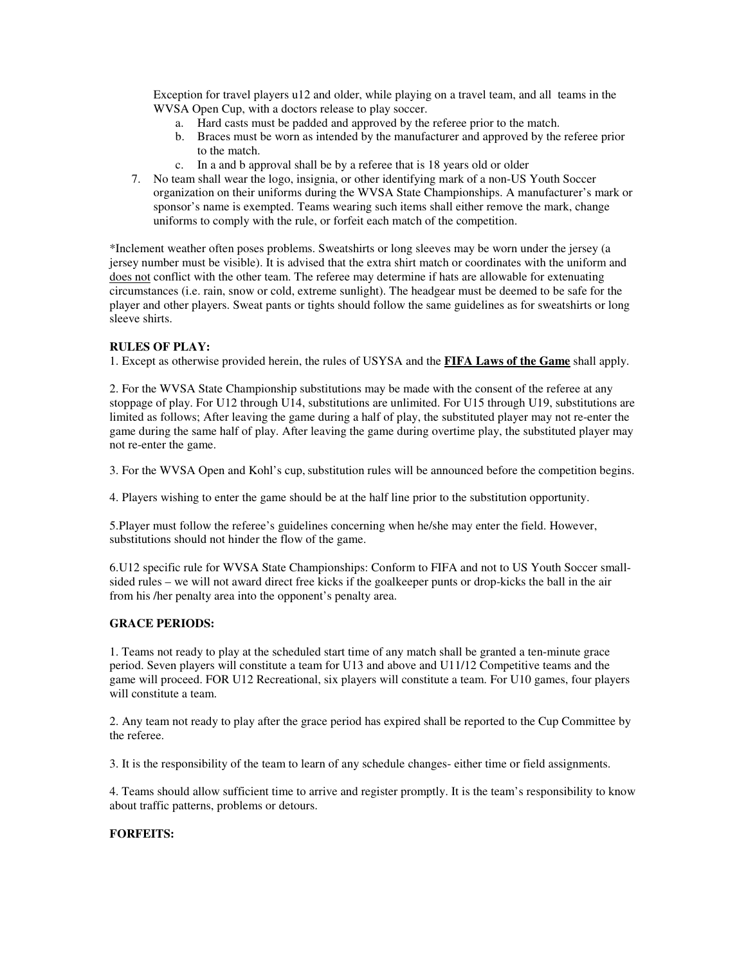Exception for travel players u12 and older, while playing on a travel team, and all teams in the WVSA Open Cup, with a doctors release to play soccer.

- a. Hard casts must be padded and approved by the referee prior to the match.
- b. Braces must be worn as intended by the manufacturer and approved by the referee prior to the match.
- c. In a and b approval shall be by a referee that is 18 years old or older
- 7. No team shall wear the logo, insignia, or other identifying mark of a non-US Youth Soccer organization on their uniforms during the WVSA State Championships. A manufacturer's mark or sponsor's name is exempted. Teams wearing such items shall either remove the mark, change uniforms to comply with the rule, or forfeit each match of the competition.

\*Inclement weather often poses problems. Sweatshirts or long sleeves may be worn under the jersey (a jersey number must be visible). It is advised that the extra shirt match or coordinates with the uniform and does not conflict with the other team. The referee may determine if hats are allowable for extenuating circumstances (i.e. rain, snow or cold, extreme sunlight). The headgear must be deemed to be safe for the player and other players. Sweat pants or tights should follow the same guidelines as for sweatshirts or long sleeve shirts.

## **RULES OF PLAY:**

1. Except as otherwise provided herein, the rules of USYSA and the **FIFA Laws of the Game** shall apply.

2. For the WVSA State Championship substitutions may be made with the consent of the referee at any stoppage of play. For U12 through U14, substitutions are unlimited. For U15 through U19, substitutions are limited as follows; After leaving the game during a half of play, the substituted player may not re-enter the game during the same half of play. After leaving the game during overtime play, the substituted player may not re-enter the game.

3. For the WVSA Open and Kohl's cup, substitution rules will be announced before the competition begins.

4. Players wishing to enter the game should be at the half line prior to the substitution opportunity.

5.Player must follow the referee's guidelines concerning when he/she may enter the field. However, substitutions should not hinder the flow of the game.

6.U12 specific rule for WVSA State Championships: Conform to FIFA and not to US Youth Soccer smallsided rules – we will not award direct free kicks if the goalkeeper punts or drop-kicks the ball in the air from his /her penalty area into the opponent's penalty area.

# **GRACE PERIODS:**

1. Teams not ready to play at the scheduled start time of any match shall be granted a ten-minute grace period. Seven players will constitute a team for U13 and above and U11/12 Competitive teams and the game will proceed. FOR U12 Recreational, six players will constitute a team. For U10 games, four players will constitute a team.

2. Any team not ready to play after the grace period has expired shall be reported to the Cup Committee by the referee.

3. It is the responsibility of the team to learn of any schedule changes- either time or field assignments.

4. Teams should allow sufficient time to arrive and register promptly. It is the team's responsibility to know about traffic patterns, problems or detours.

# **FORFEITS:**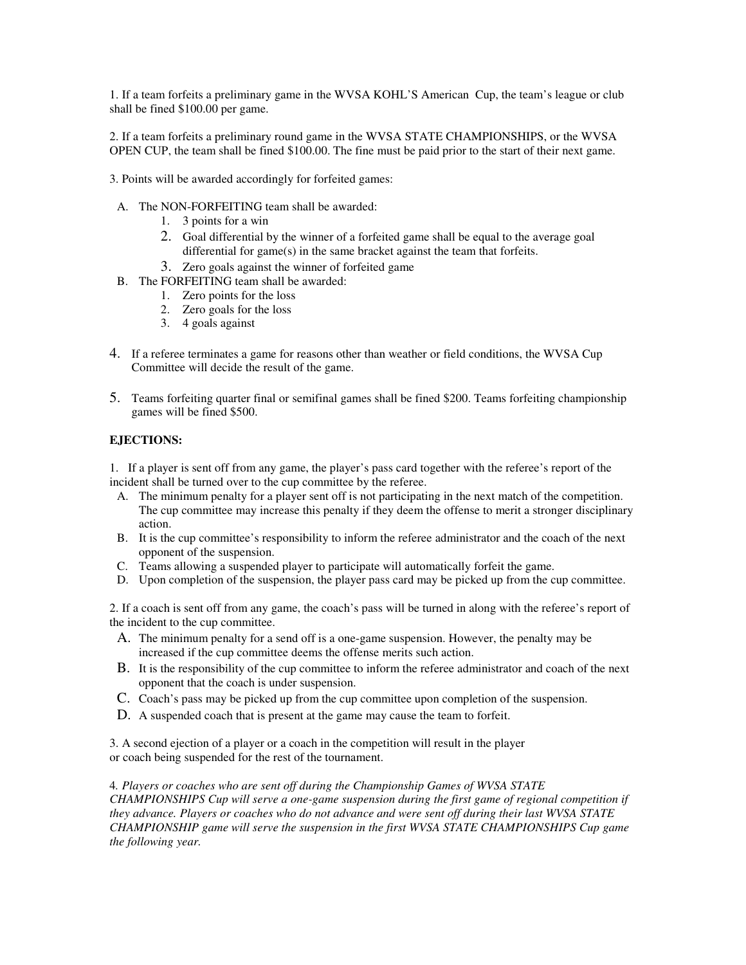1. If a team forfeits a preliminary game in the WVSA KOHL'S American Cup, the team's league or club shall be fined \$100.00 per game.

2. If a team forfeits a preliminary round game in the WVSA STATE CHAMPIONSHIPS, or the WVSA OPEN CUP, the team shall be fined \$100.00. The fine must be paid prior to the start of their next game.

- 3. Points will be awarded accordingly for forfeited games:
- A. The NON-FORFEITING team shall be awarded:
	- 1. 3 points for a win
	- 2. Goal differential by the winner of a forfeited game shall be equal to the average goal differential for game(s) in the same bracket against the team that forfeits.
	- 3. Zero goals against the winner of forfeited game
- B. The FORFEITING team shall be awarded:
	- 1. Zero points for the loss
	- 2. Zero goals for the loss
	- 3. 4 goals against
- 4. If a referee terminates a game for reasons other than weather or field conditions, the WVSA Cup Committee will decide the result of the game.
- 5. Teams forfeiting quarter final or semifinal games shall be fined \$200. Teams forfeiting championship games will be fined \$500.

# **EJECTIONS:**

1. If a player is sent off from any game, the player's pass card together with the referee's report of the incident shall be turned over to the cup committee by the referee.

- A. The minimum penalty for a player sent off is not participating in the next match of the competition. The cup committee may increase this penalty if they deem the offense to merit a stronger disciplinary action.
- B. It is the cup committee's responsibility to inform the referee administrator and the coach of the next opponent of the suspension.
- C. Teams allowing a suspended player to participate will automatically forfeit the game.
- D. Upon completion of the suspension, the player pass card may be picked up from the cup committee.

2. If a coach is sent off from any game, the coach's pass will be turned in along with the referee's report of the incident to the cup committee.

- A. The minimum penalty for a send off is a one-game suspension. However, the penalty may be increased if the cup committee deems the offense merits such action.
- B. It is the responsibility of the cup committee to inform the referee administrator and coach of the next opponent that the coach is under suspension.
- C. Coach's pass may be picked up from the cup committee upon completion of the suspension.
- D. A suspended coach that is present at the game may cause the team to forfeit.

3. A second ejection of a player or a coach in the competition will result in the player or coach being suspended for the rest of the tournament.

4*. Players or coaches who are sent off during the Championship Games of WVSA STATE CHAMPIONSHIPS Cup will serve a one-game suspension during the first game of regional competition if they advance. Players or coaches who do not advance and were sent off during their last WVSA STATE CHAMPIONSHIP game will serve the suspension in the first WVSA STATE CHAMPIONSHIPS Cup game the following year.*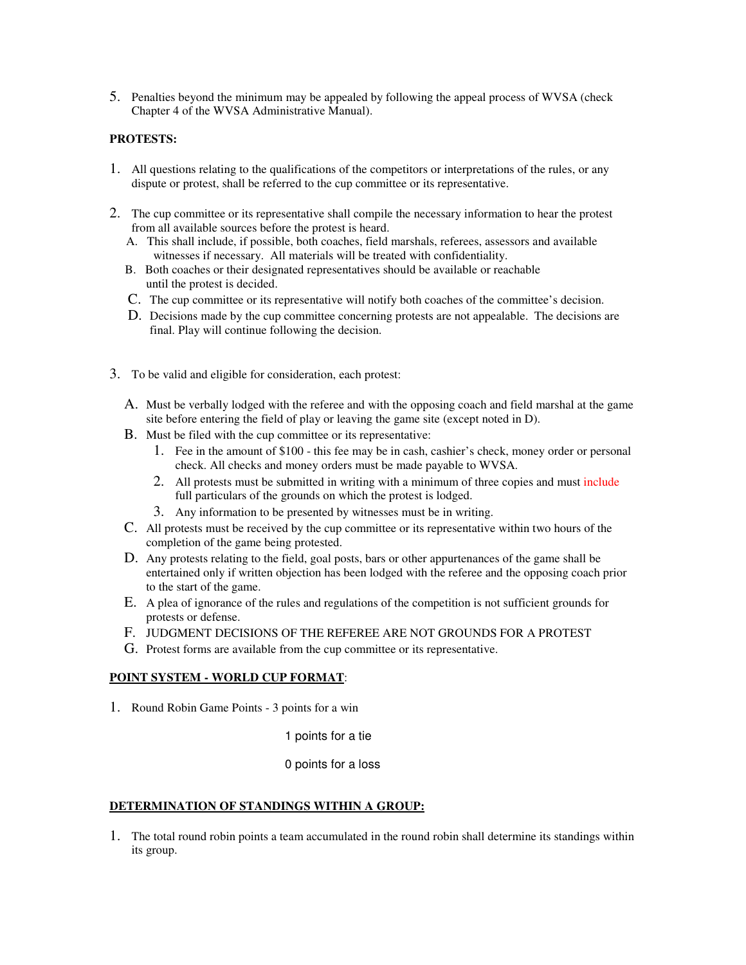5. Penalties beyond the minimum may be appealed by following the appeal process of WVSA (check Chapter 4 of the WVSA Administrative Manual).

#### **PROTESTS:**

- 1. All questions relating to the qualifications of the competitors or interpretations of the rules, or any dispute or protest, shall be referred to the cup committee or its representative.
- 2. The cup committee or its representative shall compile the necessary information to hear the protest from all available sources before the protest is heard.
	- A. This shall include, if possible, both coaches, field marshals, referees, assessors and available witnesses if necessary. All materials will be treated with confidentiality.
	- B. Both coaches or their designated representatives should be available or reachable until the protest is decided.
	- C. The cup committee or its representative will notify both coaches of the committee's decision.
	- D. Decisions made by the cup committee concerning protests are not appealable. The decisions are final. Play will continue following the decision.
- 3. To be valid and eligible for consideration, each protest:
	- A. Must be verbally lodged with the referee and with the opposing coach and field marshal at the game site before entering the field of play or leaving the game site (except noted in D).
	- B. Must be filed with the cup committee or its representative:
		- 1. Fee in the amount of \$100 this fee may be in cash, cashier's check, money order or personal check. All checks and money orders must be made payable to WVSA.
		- 2. All protests must be submitted in writing with a minimum of three copies and must include full particulars of the grounds on which the protest is lodged.
		- 3. Any information to be presented by witnesses must be in writing.
	- C. All protests must be received by the cup committee or its representative within two hours of the completion of the game being protested.
	- D. Any protests relating to the field, goal posts, bars or other appurtenances of the game shall be entertained only if written objection has been lodged with the referee and the opposing coach prior to the start of the game.
	- E. A plea of ignorance of the rules and regulations of the competition is not sufficient grounds for protests or defense.
	- F. JUDGMENT DECISIONS OF THE REFEREE ARE NOT GROUNDS FOR A PROTEST
	- G. Protest forms are available from the cup committee or its representative.

# **POINT SYSTEM - WORLD CUP FORMAT**:

1. Round Robin Game Points - 3 points for a win

1 points for a tie

#### 0 points for a loss

# **DETERMINATION OF STANDINGS WITHIN A GROUP:**

1. The total round robin points a team accumulated in the round robin shall determine its standings within its group.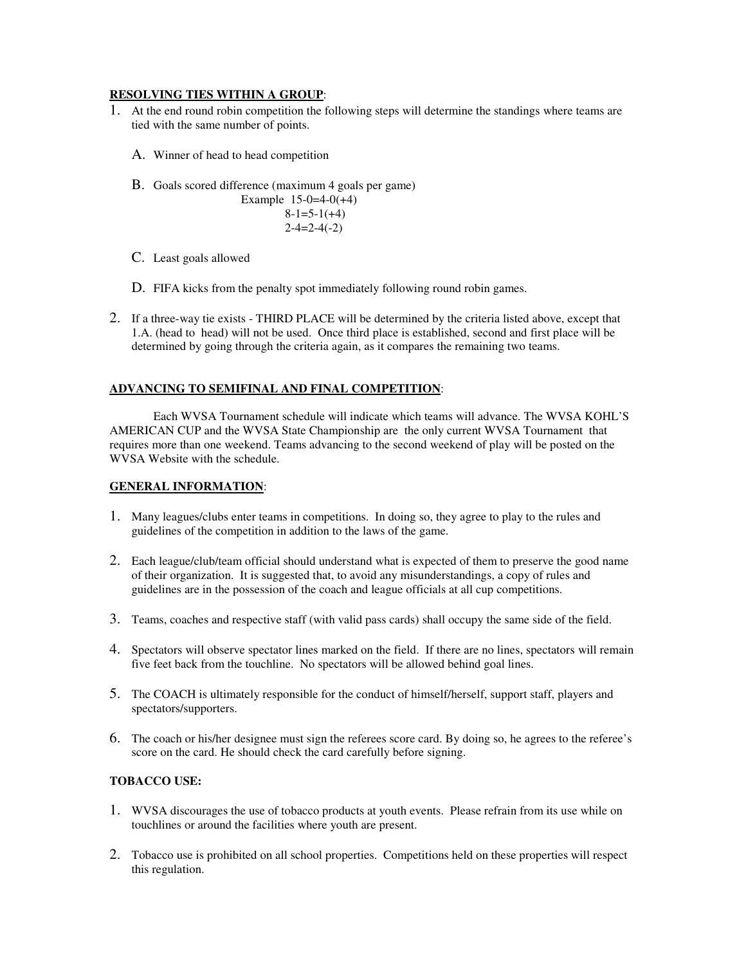# **RESOLVING TIES WITHIN A GROUP**:

- 1. At the end round robin competition the following steps will determine the standings where teams are tied with the same number of points.
	- A. Winner of head to head competition
	- B. Goals scored difference (maximum 4 goals per game) Example 15-0=4-0(+4)  $8-1=5-1(+4)$  $2-4=2-4(-2)$
	- C. Least goals allowed
	- D. FIFA kicks from the penalty spot immediately following round robin games.
- 2. If a three-way tie exists THIRD PLACE will be determined by the criteria listed above, except that 1.A. (head to head) will not be used. Once third place is established, second and first place will be determined by going through the criteria again, as it compares the remaining two teams.

# **ADVANCING TO SEMIFINAL AND FINAL COMPETITION**:

 Each WVSA Tournament schedule will indicate which teams will advance. The WVSA KOHL'S AMERICAN CUP and the WVSA State Championship are the only current WVSA Tournament that requires more than one weekend. Teams advancing to the second weekend of play will be posted on the WVSA Website with the schedule.

## **GENERAL INFORMATION**:

- 1. Many leagues/clubs enter teams in competitions. In doing so, they agree to play to the rules and guidelines of the competition in addition to the laws of the game.
- 2. Each league/club/team official should understand what is expected of them to preserve the good name of their organization. It is suggested that, to avoid any misunderstandings, a copy of rules and guidelines are in the possession of the coach and league officials at all cup competitions.
- 3. Teams, coaches and respective staff (with valid pass cards) shall occupy the same side of the field.
- 4. Spectators will observe spectator lines marked on the field. If there are no lines, spectators will remain five feet back from the touchline. No spectators will be allowed behind goal lines.
- 5. The COACH is ultimately responsible for the conduct of himself/herself, support staff, players and spectators/supporters.
- 6. The coach or his/her designee must sign the referees score card. By doing so, he agrees to the referee's score on the card. He should check the card carefully before signing.

# **TOBACCO USE:**

- 1. WVSA discourages the use of tobacco products at youth events. Please refrain from its use while on touchlines or around the facilities where youth are present.
- 2. Tobacco use is prohibited on all school properties. Competitions held on these properties will respect this regulation.